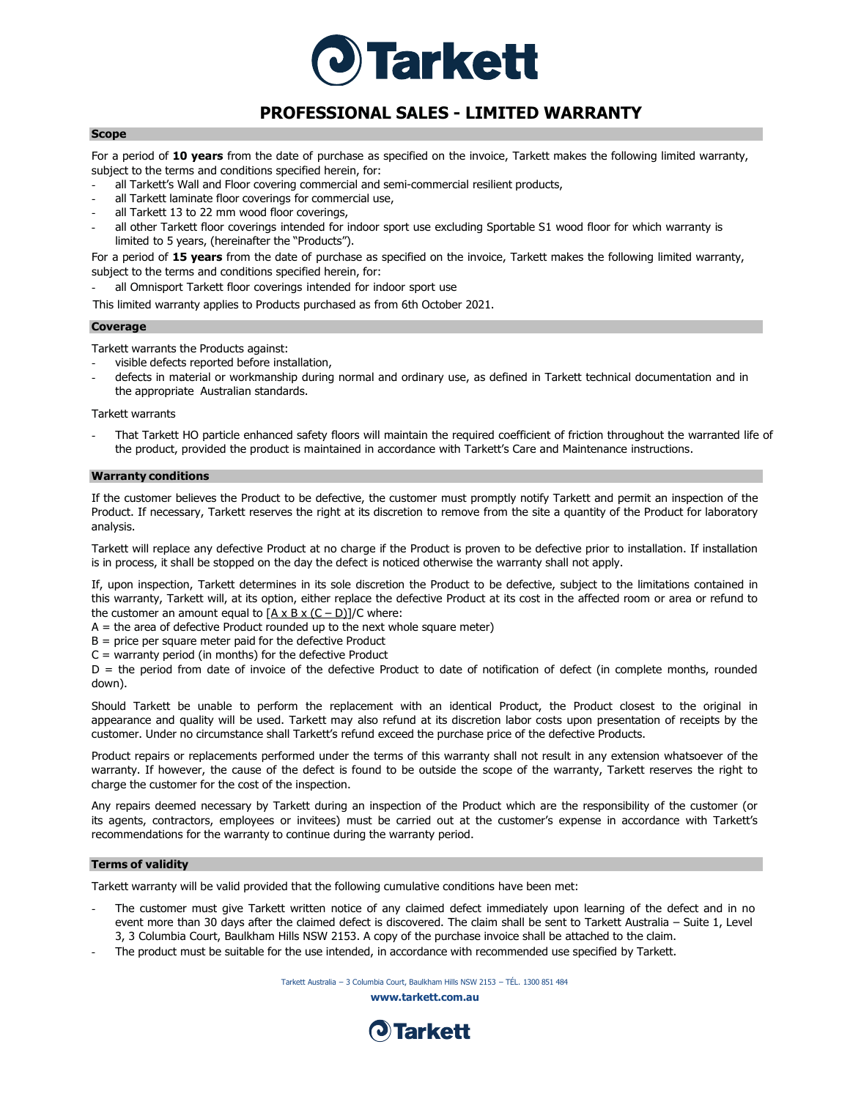

# **PROFESSIONAL SALES - LIMITED WARRANTY**

## **Scope**

For a period of **10 years** from the date of purchase as specified on the invoice, Tarkett makes the following limited warranty, subject to the terms and conditions specified herein, for:

- all Tarkett's Wall and Floor covering commercial and semi-commercial resilient products,
- all Tarkett laminate floor coverings for commercial use,
- all Tarkett 13 to 22 mm wood floor coverings,
- all other Tarkett floor coverings intended for indoor sport use excluding Sportable S1 wood floor for which warranty is limited to 5 years, (hereinafter the "Products").

For a period of **15 years** from the date of purchase as specified on the invoice, Tarkett makes the following limited warranty, subject to the terms and conditions specified herein, for:

all Omnisport Tarkett floor coverings intended for indoor sport use

This limited warranty applies to Products purchased as from 6th October 2021.

#### **Coverage**

Tarkett warrants the Products against:

- visible defects reported before installation,
- defects in material or workmanship during normal and ordinary use, as defined in Tarkett technical documentation and in the appropriate Australian standards.

Tarkett warrants

That Tarkett HO particle enhanced safety floors will maintain the required coefficient of friction throughout the warranted life of the product, provided the product is maintained in accordance with Tarkett's Care and Maintenance instructions.

### **Warranty conditions**

If the customer believes the Product to be defective, the customer must promptly notify Tarkett and permit an inspection of the Product. If necessary, Tarkett reserves the right at its discretion to remove from the site a quantity of the Product for laboratory analysis.

Tarkett will replace any defective Product at no charge if the Product is proven to be defective prior to installation. If installation is in process, it shall be stopped on the day the defect is noticed otherwise the warranty shall not apply.

If, upon inspection, Tarkett determines in its sole discretion the Product to be defective, subject to the limitations contained in this warranty, Tarkett will, at its option, either replace the defective Product at its cost in the affected room or area or refund to the customer an amount equal to  $[A \times B \times (C - D)]/C$  where:

 $A =$  the area of defective Product rounded up to the next whole square meter)

 $B =$  price per square meter paid for the defective Product

 $C =$  warranty period (in months) for the defective Product

D = the period from date of invoice of the defective Product to date of notification of defect (in complete months, rounded down).

Should Tarkett be unable to perform the replacement with an identical Product, the Product closest to the original in appearance and quality will be used. Tarkett may also refund at its discretion labor costs upon presentation of receipts by the customer. Under no circumstance shall Tarkett's refund exceed the purchase price of the defective Products.

Product repairs or replacements performed under the terms of this warranty shall not result in any extension whatsoever of the warranty. If however, the cause of the defect is found to be outside the scope of the warranty, Tarkett reserves the right to charge the customer for the cost of the inspection.

Any repairs deemed necessary by Tarkett during an inspection of the Product which are the responsibility of the customer (or its agents, contractors, employees or invitees) must be carried out at the customer's expense in accordance with Tarkett's recommendations for the warranty to continue during the warranty period.

# **Terms of validity**

Tarkett warranty will be valid provided that the following cumulative conditions have been met:

- The customer must give Tarkett written notice of any claimed defect immediately upon learning of the defect and in no event more than 30 days after the claimed defect is discovered. The claim shall be sent to Tarkett Australia – Suite 1, Level 3, 3 Columbia Court, Baulkham Hills NSW 2153. A copy of the purchase invoice shall be attached to the claim.
- The product must be suitable for the use intended, in accordance with recommended use specified by Tarkett.

Tarkett Australia – 3 Columbia Court, Baulkham Hills NSW 2153 – TÉL. 1300 851 484

**[www.tarkett.com.au](http://www.tarkett.com.au/)**